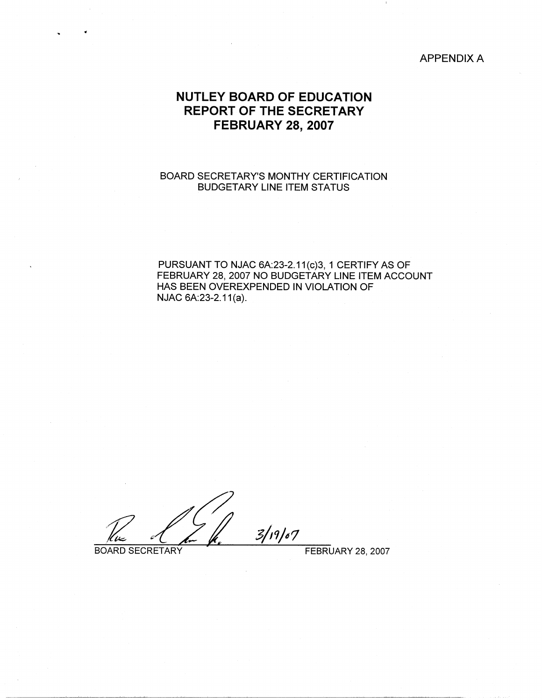## APPENDIX A

# **NUTLEY BOARD OF EDUCATION REPORT OF THE SECRETARY FEBRUARY 28, 2007**

## BOARD SECRETARY'S MONTHY CERTIFICATION BUDGETARY LINE ITEM STATUS

PURSUANT TO NJAC 6A:23-2.11(c)3, 1 CERTIFY AS OF FEBRUARY 28, 2007 NO BUDGETARY LINE ITEM ACCOUNT HAS BEEN OVEREXPENDED IN VIOLATION OF NJAC 6A:23-2.11(a).

 $3/19/07$ BOARD SECRETARY FEBRUARY 28, 2007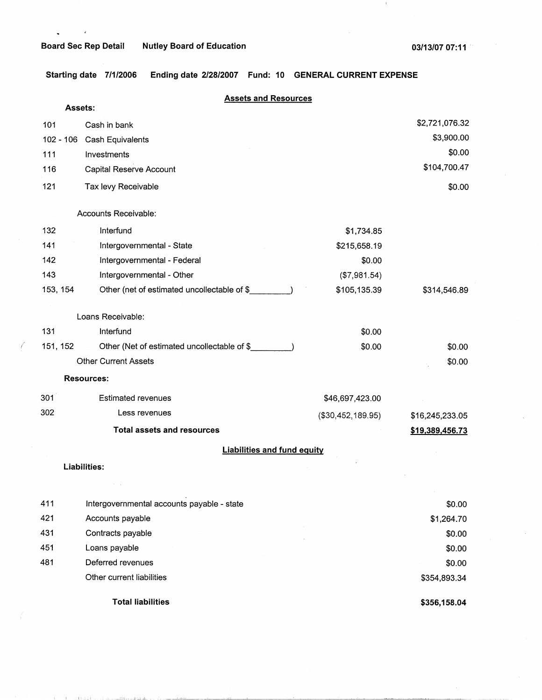$\cdot$ 

*(* 

The second interest of the matter relations.

.<br>Tha an t-ainm an amhaidh Eilean

 $\mathbf{1}$ 

**Starting date 7/1/2006 Ending date 2/28/2007 Fund: 10 GENERAL CURRENT EXPENSE** 

|     |                | <b>Assets and Resources</b>                 |                   |                 |
|-----|----------------|---------------------------------------------|-------------------|-----------------|
|     | <b>Assets:</b> |                                             |                   |                 |
| 101 |                | Cash in bank                                |                   | \$2,721,076.32  |
|     |                | 102 - 106 Cash Equivalents                  |                   | \$3,900.00      |
| 111 |                | Investments                                 |                   | \$0.00          |
| 116 |                | Capital Reserve Account                     |                   | \$104,700.47    |
| 121 |                | Tax levy Receivable                         |                   | \$0.00          |
|     |                | Accounts Receivable:                        |                   |                 |
| 132 |                | Interfund                                   | \$1,734.85        |                 |
| 141 |                | Intergovernmental - State                   | \$215,658.19      |                 |
| 142 |                | Intergovernmental - Federal                 | \$0.00            |                 |
| 143 |                | Intergovernmental - Other                   | (\$7,981.54)      |                 |
|     | 153, 154       | Other (net of estimated uncollectable of \$ | \$105,135.39      | \$314,546.89    |
|     |                | Loans Receivable:                           |                   |                 |
| 131 |                | Interfund                                   | \$0.00            |                 |
|     | 151, 152       | Other (Net of estimated uncollectable of \$ | \$0.00            | \$0.00          |
|     |                | <b>Other Current Assets</b>                 |                   | \$0.00          |
|     |                | <b>Resources:</b>                           |                   |                 |
| 301 |                | <b>Estimated revenues</b>                   | \$46,697,423.00   |                 |
| 302 |                | Less revenues                               | (\$30,452,189.95) | \$16,245,233.05 |
|     |                | <b>Total assets and resources</b>           |                   | \$19,389,456.73 |
|     |                | <b>Liabilities and fund equity</b>          |                   |                 |
|     |                | Liabilities:                                |                   |                 |
|     |                |                                             |                   |                 |
| 411 |                | Intergovernmental accounts payable - state  |                   | \$0.00          |
| 421 |                | Accounts payable                            |                   | \$1,264.70      |
| 431 |                | Contracts payable                           |                   | \$0.00          |
| 451 |                | Loans payable                               |                   | \$0.00          |
| 481 |                | Deferred revenues                           |                   | \$0.00          |
|     |                | Other current liabilities                   |                   | \$354,893.34    |
|     |                | <b>Total liabilities</b>                    |                   | \$356,158.04    |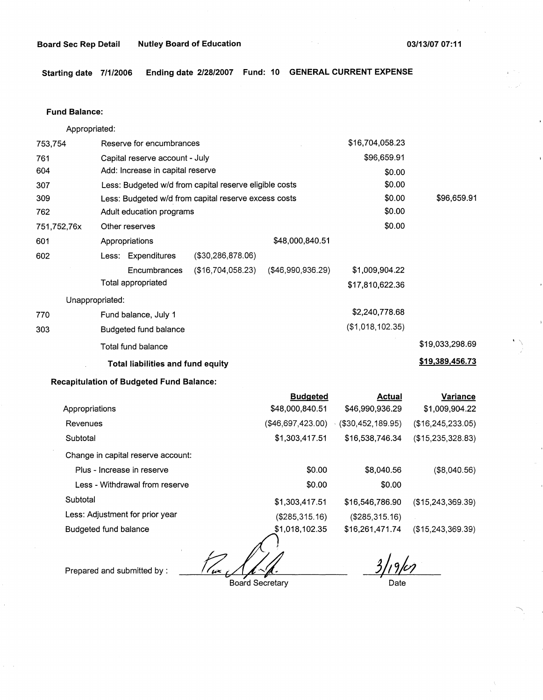**Starting date 7/1/2006 Ending date 2/28/2007 Fund: 10 GENERAL CURRENT EXPENSE** 

#### **Fund Balance:**

Appropriated:

| 753,754         | Reserve for encumbrances                               |                   |                      | \$16,704,058.23  |                 |
|-----------------|--------------------------------------------------------|-------------------|----------------------|------------------|-----------------|
| 761             | Capital reserve account - July                         |                   |                      | \$96,659.91      |                 |
| 604             | Add: Increase in capital reserve                       |                   |                      | \$0.00           |                 |
| 307             | Less: Budgeted w/d from capital reserve eligible costs |                   |                      | \$0.00           |                 |
| 309             | Less: Budgeted w/d from capital reserve excess costs   |                   |                      | \$0.00           | \$96,659.91     |
| 762             | Adult education programs                               |                   |                      | \$0.00           |                 |
| 751,752,76x     | Other reserves                                         |                   |                      | \$0.00           |                 |
| 601             | Appropriations                                         |                   | \$48,000,840.51      |                  |                 |
| 602             | Less: Expenditures                                     | (\$30,286,878.06) |                      |                  |                 |
|                 | Encumbrances                                           | (\$16,704,058.23) | $($ \$46,990,936.29) | \$1,009,904.22   |                 |
|                 | Total appropriated                                     |                   |                      | \$17,810,622.36  |                 |
| Unappropriated: |                                                        |                   |                      |                  |                 |
| 770             | Fund balance, July 1                                   |                   |                      | \$2,240,778.68   |                 |
| 303             | Budgeted fund balance                                  |                   |                      | (\$1,018,102.35) |                 |
|                 | Total fund balance                                     |                   |                      |                  | \$19,033,298.69 |
|                 | <b>Total liabilities and fund equity</b>               |                   |                      |                  | \$19,389,456.73 |

## **Recapitulation of Budgeted Fund Balance:**

|                                    | <b>Budgeted</b>   | <b>Actual</b>      | Variance          |
|------------------------------------|-------------------|--------------------|-------------------|
| Appropriations                     | \$48,000,840.51   | \$46,990,936.29    | \$1,009,904.22    |
| Revenues                           | (\$46,697,423.00) | ( \$30,452,189.95) | (\$16,245,233.05) |
| Subtotal                           | \$1,303,417.51    | \$16,538,746.34    | (\$15,235,328.83) |
| Change in capital reserve account: |                   |                    |                   |
| Plus - Increase in reserve         | \$0.00            | \$8,040.56         | (\$8,040.56)      |
| Less - Withdrawal from reserve     | \$0.00            | \$0.00             |                   |
| Subtotal                           | \$1,303,417.51    | \$16,546,786.90    | (\$15,243,369.39) |
| Less: Adjustment for prior year    | (\$285,315.16)    | (\$285,315.16)     |                   |
| Budgeted fund balance              | \$1,018,102.35    | \$16,261,471.74    | (\$15,243,369.39) |

 $\frac{1}{\sqrt{2}}$ 

Prepared and submitted by :

Board Secretary

 $9/107$ Date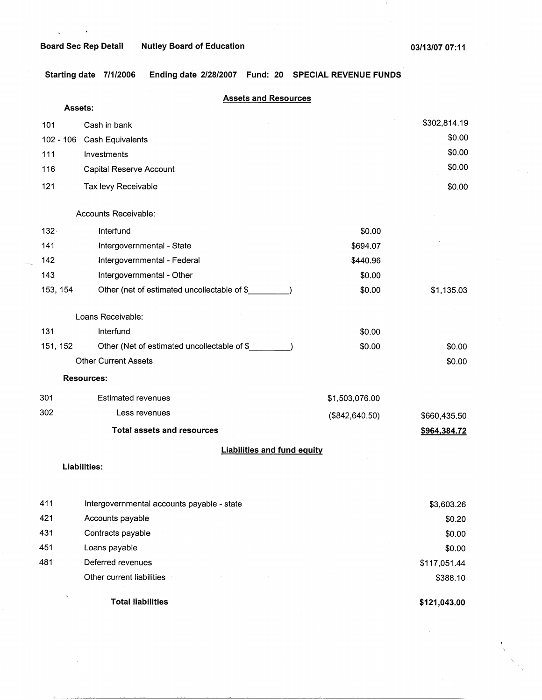$\zeta_{\rm{max}}=0.5$ 

 $\mathbf{I}$ 

**Starting date 7/1/2006 Ending date 2/28/2007 Fund: 20 SPECIAL REVENUE FUNDS** 

|             | <b>Assets and Resources</b>                 |                   |              |
|-------------|---------------------------------------------|-------------------|--------------|
|             | Assets:                                     |                   |              |
| 101         | Cash in bank                                |                   | \$302,814.19 |
| $102 - 106$ | Cash Equivalents                            |                   | \$0.00       |
| 111         | Investments                                 |                   | \$0.00       |
| 116         | Capital Reserve Account                     |                   | \$0.00       |
| 121         | Tax levy Receivable                         |                   | \$0.00       |
|             | Accounts Receivable:                        |                   |              |
| $132 -$     | Interfund                                   | \$0.00            |              |
| 141         | Intergovernmental - State                   | \$694.07          |              |
| 142         | Intergovernmental - Federal                 | \$440.96          |              |
| 143         | Intergovernmental - Other                   | \$0.00            |              |
| 153, 154    | Other (net of estimated uncollectable of \$ | \$0.00            | \$1,135.03   |
|             | Loans Receivable:                           |                   |              |
| 131         | Interfund                                   | \$0.00            |              |
| 151, 152    | Other (Net of estimated uncollectable of \$ | \$0.00            | \$0.00       |
|             | <b>Other Current Assets</b>                 |                   | \$0.00       |
|             | <b>Resources:</b>                           |                   |              |
| 301         | <b>Estimated revenues</b>                   | \$1,503,076.00    |              |
| 302         | Less revenues                               | $($ \$842,640.50) | \$660,435.50 |
|             | <b>Total assets and resources</b>           |                   | \$964,384.72 |
|             | <b>Liabilities and fund equity</b>          |                   |              |
|             | <b>Liabilities:</b>                         |                   |              |
|             |                                             |                   |              |
| 411         | Intergovernmental accounts payable - state  |                   | \$3,603.26   |
| 421         | Accounts payable                            |                   | \$0.20       |
| 431         | Contracts payable                           |                   | \$0.00       |
| 451         | Loans payable                               |                   | \$0.00       |
| 481         | Deferred revenues                           |                   | \$117,051.44 |
|             | Other current liabilities                   |                   | \$388.10     |

**Total liabilities** 

فالشابات

**\$121,043.00**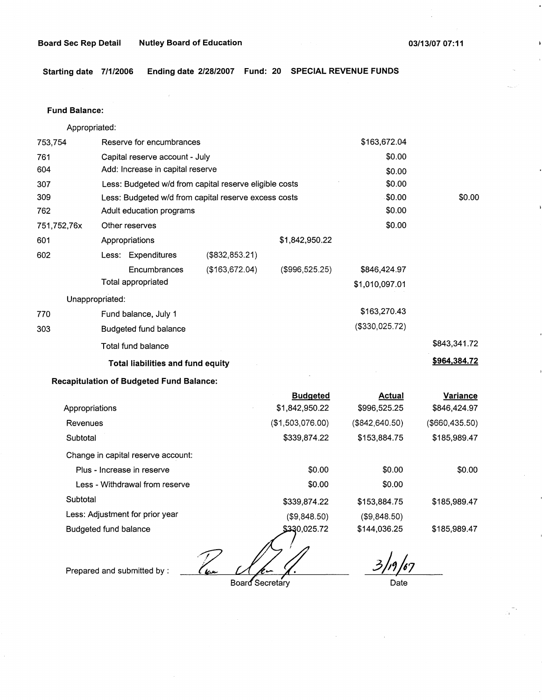**Starting date 7/1/2006 Ending date 2/28/2007 Fund: 20 SPECIAL REVENUE FUND.S** 

#### **Fund Balance:**

Appropriated:

| 753,754         | Reserve for encumbrances                               |                   |                | \$163,672.04   |              |
|-----------------|--------------------------------------------------------|-------------------|----------------|----------------|--------------|
| 761             | Capital reserve account - July                         |                   |                | \$0.00         |              |
| 604             | Add: Increase in capital reserve                       |                   |                | \$0.00         |              |
| 307             | Less: Budgeted w/d from capital reserve eligible costs |                   |                | \$0.00         |              |
| 309             | Less: Budgeted w/d from capital reserve excess costs   |                   |                | \$0.00         | \$0.00       |
| 762             | Adult education programs                               |                   |                | \$0.00         |              |
| 751,752,76x     | Other reserves                                         |                   |                | \$0.00         |              |
| 601             | Appropriations                                         |                   | \$1,842,950.22 |                |              |
| 602             | Less: Expenditures                                     | $($ \$832,853.21) |                |                |              |
|                 | Encumbrances                                           | (\$163,672.04)    | (\$996,525.25) | \$846,424.97   |              |
|                 | Total appropriated                                     |                   |                | \$1,010,097.01 |              |
| Unappropriated: |                                                        |                   |                |                |              |
| 770             | Fund balance, July 1                                   |                   |                | \$163,270.43   |              |
| 303             | Budgeted fund balance                                  |                   |                | (\$330,025.72) |              |
|                 | Total fund balance                                     |                   |                |                | \$843,341.72 |
|                 | <b>Total liabilities and fund equity</b>               |                   |                |                | \$964,384.72 |
|                 | .                                                      |                   |                |                |              |

## **Recapitulation of Budgeted Fund Balance:**

|                                    | <b>Budgeted</b>  | Actual         | Variance       |
|------------------------------------|------------------|----------------|----------------|
| Appropriations                     | \$1,842,950.22   | \$996,525.25   | \$846,424.97   |
| Revenues                           | (\$1,503,076.00) | (\$842,640.50) | (\$660,435.50) |
| Subtotal                           | \$339,874.22     | \$153,884.75   | \$185,989.47   |
| Change in capital reserve account: |                  |                |                |
| Plus - Increase in reserve         | \$0.00           | \$0.00         | \$0.00         |
| Less - Withdrawal from reserve     | \$0.00           | \$0.00         |                |
| Subtotal                           | \$339,874.22     | \$153,884.75   | \$185,989.47   |
| Less: Adjustment for prior year    | (\$9,848.50)     | (S9, 848.50)   |                |
| Budgeted fund balance              | \$330,025.72     | \$144,036.25   | \$185,989.47   |

 $\mathcal{T}$ 

Prepared and submitted by :

Board Secretary

*3)<sup>19</sup>/67*<br>Date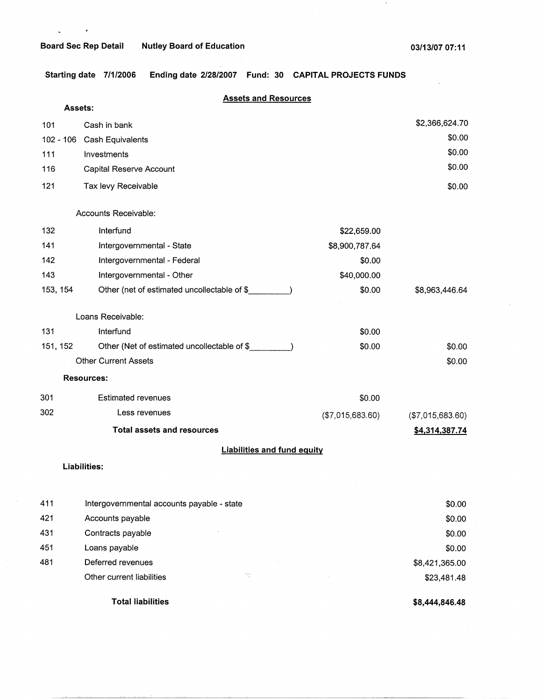## **Board Sec Rep Detail Nutley Board of Education**

 $\ddot{\phantom{a}}$ 

 $\mathbf{I}$ 

**Starting date 7/1/2006 Ending date 2/28/2007 Fund: 30 CAPITAL PROJECTS FUNDS** 

|             | <b>Assets and Resources</b>                 |                  |                  |
|-------------|---------------------------------------------|------------------|------------------|
|             | <b>Assets:</b>                              |                  |                  |
| 101         | Cash in bank                                |                  | \$2,366,624.70   |
| $102 - 106$ | <b>Cash Equivalents</b>                     |                  | \$0.00           |
| 111         | Investments                                 |                  | \$0.00           |
| 116         | Capital Reserve Account                     |                  | \$0.00           |
| 121         | Tax levy Receivable                         |                  | \$0.00           |
|             | Accounts Receivable.                        |                  |                  |
| 132         | Interfund                                   | \$22,659.00      |                  |
| 141         | Intergovernmental - State                   | \$8,900,787.64   |                  |
| 142         | Intergovernmental - Federal                 | \$0.00           |                  |
| 143         | Intergovernmental - Other                   | \$40,000.00      |                  |
| 153, 154    | Other (net of estimated uncollectable of \$ | \$0.00           | \$8,963,446.64   |
|             | Loans Receivable:                           |                  |                  |
| 131         | Interfund                                   | \$0.00           |                  |
| 151, 152    | Other (Net of estimated uncollectable of \$ | \$0.00           | \$0.00           |
|             | <b>Other Current Assets</b>                 |                  | \$0.00           |
|             | <b>Resources:</b>                           |                  |                  |
| 301         | <b>Estimated revenues</b>                   | \$0.00           |                  |
| 302         | Less revenues                               | (\$7,015,683.60) | (\$7,015,683.60) |
|             | <b>Total assets and resources</b>           |                  | \$4,314,387.74   |
|             | <b>Liabilities and fund equity</b>          |                  |                  |
|             | Liabilities:                                |                  |                  |
| 411         | Intergovernmental accounts payable - state  |                  | \$0.00           |
| 421         | Accounts payable                            |                  | \$0.00           |
| 431         | Contracts payable                           |                  | \$0.00           |
| 451         | Loans payable                               |                  | \$0.00           |

 $\epsilon = 85$ 

Other current liabilities

**Total liabilities** 

481 Deferred revenues

**\$8,444,846.48** 

\$8,421,365.00 \$23,481.48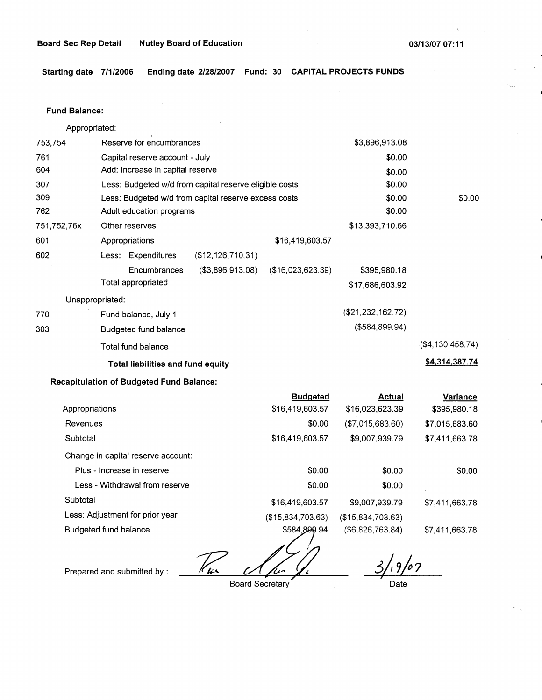**Starting date 7/1/2006 Ending date 2/28/2007 Fund: 30 CAPITAL PROJECTS FUNDS** 

#### **Fund Balance:**

Appropriated: 753,754 Reserve for encumbrances Capital reserve account - July Add: Increase in capital reserve 761 604 307 309 762 751,752,76x 601 Less: Budgeted w/d from capital reserve eligible costs Less: Budgeted w/d from capital reserve excess costs Adult education programs Other reserves Appropriations \$16,419,603.57 602 (\$12,126,710.31) **Less:** Expenditures 770 303 **Encumbrances** Total appropriated (\$3,896,913.08) (\$16,023,623.39) Unappropriated: Fund balance, July 1 Budgeted fund balance Total fund balance **Total liabilities and fund equity**  \$3,896,913.08 \$0.00 \$0.00 \$0.00 \$0.00 \$0.00 \$13,393,710.66 \$395,980.18 \$17,686,603.92 (\$21,232,162.72) (\$584,899.94) \$0.00 (\$4,130,458.74) **\$4,314,387.74** 

## **Recapitulation of Budgeted Fund Balance:**

|                                    | <b>Budgeted</b>   | <b>Actual</b>     | Variance       |
|------------------------------------|-------------------|-------------------|----------------|
| Appropriations                     | \$16,419,603.57   | \$16,023,623.39   | \$395,980.18   |
| Revenues                           | \$0.00            | (\$7,015,683.60)  | \$7,015,683.60 |
| Subtotal                           | \$16,419,603.57   | \$9,007,939.79    | \$7,411,663.78 |
| Change in capital reserve account: |                   |                   |                |
| Plus - Increase in reserve         | \$0.00            | \$0.00            | \$0.00         |
| Less - Withdrawal from reserve     | \$0.00            | \$0.00            |                |
| Subtotal                           | \$16,419,603.57   | \$9,007.939.79    | \$7,411,663.78 |
| Less: Adjustment for prior year    | (\$15,834,703.63) | (\$15,834,703.63) |                |
| Budgeted fund balance              | \$584,899.94      | (\$6,826,763.84)  | \$7,411,663.78 |

*v/2* 

Prepared and submitted by :  $\mathcal{U}_{\ell}$ 

Board Secretary

*3/, 9fa7* , **Date**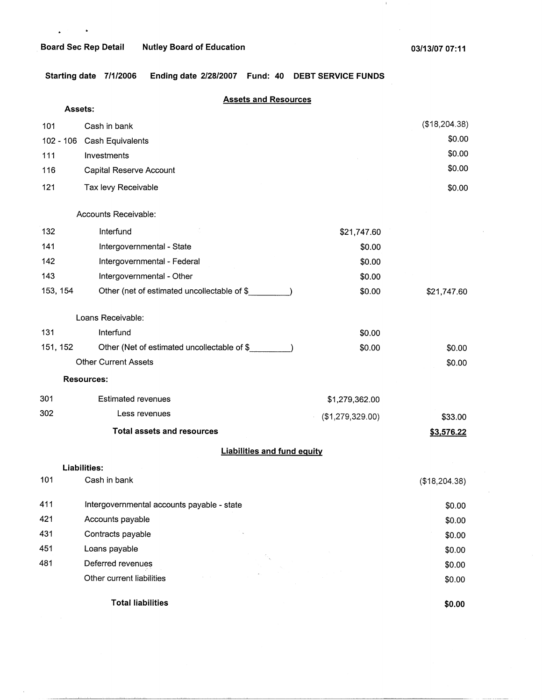$\mathbf{r}^{(1)}$  and  $\mathbf{r}^{(2)}$ 

 $\ddot{\phantom{a}}$ 

 $\left\vert 1\right\rangle$ 

**Starting date 7/1/2006 Ending date 2/28/2007 Fund: 40 DEBT SERVICE FUNDS** 

## **Assets and Resources**

| Assets:   |                                             |                  |               |
|-----------|---------------------------------------------|------------------|---------------|
| 101       | Cash in bank                                |                  | (\$18,204.38) |
| 102 - 106 | <b>Cash Equivalents</b>                     |                  | \$0.00        |
| 111       | Investments                                 |                  | \$0.00        |
| 116       | Capital Reserve Account                     |                  | \$0.00        |
| 121       | Tax levy Receivable                         |                  | \$0.00        |
|           | Accounts Receivable:                        |                  |               |
| 132       | Interfund                                   | \$21,747.60      |               |
| 141       | Intergovernmental - State                   | \$0.00           |               |
| 142       | Intergovernmental - Federal                 | \$0.00           |               |
| 143       | Intergovernmental - Other                   | \$0.00           |               |
| 153, 154  | Other (net of estimated uncollectable of \$ | \$0.00           | \$21,747.60   |
|           | Loans Receivable:                           |                  |               |
| 131       | Interfund                                   | \$0.00           |               |
| 151, 152  | Other (Net of estimated uncollectable of \$ | \$0.00           | \$0.00        |
|           | <b>Other Current Assets</b>                 |                  | \$0.00        |
|           | <b>Resources:</b>                           |                  |               |
| 301       | <b>Estimated revenues</b>                   | \$1,279,362.00   |               |
| 302       | Less revenues                               | (\$1,279,329.00) | \$33.00       |
|           | <b>Total assets and resources</b>           |                  | \$3,576.22    |
|           | <b>Liabilities and fund equity</b>          |                  |               |
|           | Liabilities:                                |                  |               |
| 101       | Cash in bank                                |                  | (\$18,204.38) |
| 411       | Intergovernmental accounts payable - state  |                  | \$0.00        |
| 421       | Accounts payable                            |                  | \$0.00        |
| 431       | Contracts payable                           |                  | \$0.00        |
| 451       | Loans payable                               |                  | \$0.00        |
| 481       | Deferred revenues                           |                  | \$0.00        |
|           | Other current liabilities                   |                  | \$0.00        |
|           | <b>Total liabilities</b>                    |                  | \$0.00        |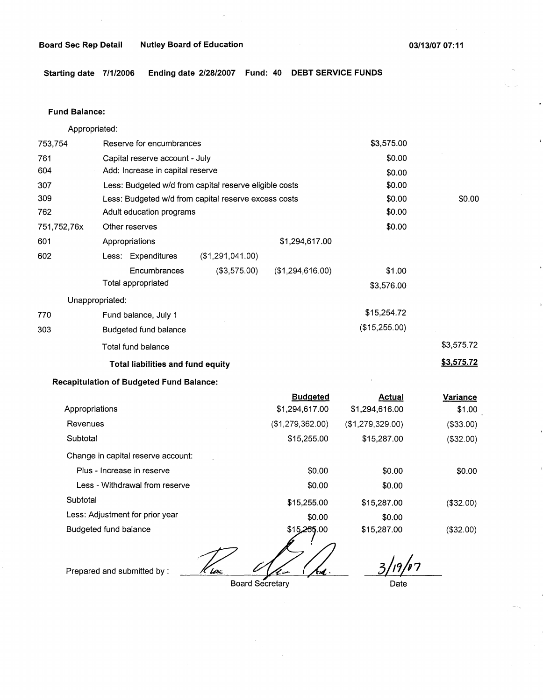## **Board Sec Rep Detail Mutley Board of Education 120 Contract 2008/13/07 07:11 Contract 2008/13/07 07:11 13/07 07:11**

**Starting date 7/1/2006 Ending date 2/28/2007 Fund: 40 DEBT SERVICE FUNDS** 

#### **Fund Balance:**

Appropriated:

| 753,754         | Reserve for encumbrances                               |                  |                  | \$3,575.00    |            |
|-----------------|--------------------------------------------------------|------------------|------------------|---------------|------------|
| 761             | Capital reserve account - July                         |                  |                  | \$0.00        |            |
| 604             | Add: Increase in capital reserve                       |                  |                  | \$0.00        |            |
| 307             | Less: Budgeted w/d from capital reserve eligible costs |                  |                  | \$0.00        |            |
| 309             | Less: Budgeted w/d from capital reserve excess costs   |                  |                  | \$0.00        | \$0.00     |
| 762             | Adult education programs                               |                  |                  | \$0.00        |            |
| 751,752,76x     | Other reserves                                         |                  |                  | \$0.00        |            |
| 601             | Appropriations                                         |                  | \$1,294,617.00   |               |            |
| 602             | Less: Expenditures                                     | (\$1,291,041.00) |                  |               |            |
|                 | Encumbrances                                           | (\$3,575.00)     | (\$1,294,616.00) | \$1.00        |            |
|                 | Total appropriated                                     |                  |                  | \$3,576.00    |            |
| Unappropriated: |                                                        |                  |                  |               |            |
| 770             | Fund balance, July 1                                   |                  |                  | \$15,254.72   |            |
| 303             | Budgeted fund balance                                  |                  |                  | (\$15,255.00) |            |
|                 | Total fund balance                                     |                  |                  |               | \$3,575.72 |
|                 | <b>Total liabilities and fund equity</b>               |                  |                  |               | \$3,575.72 |
|                 |                                                        |                  |                  |               |            |

## **Recapitulation of Budgeted Fund Balance:**

|                                    | <b>Budgeted</b>  | <b>Actual</b>    | Variance   |
|------------------------------------|------------------|------------------|------------|
| Appropriations                     | \$1,294,617.00   | \$1,294,616.00   | \$1.00     |
| Revenues                           | (\$1,279,362.00) | (\$1,279,329.00) | ( \$33.00) |
| Subtotal                           | \$15,255.00      | \$15,287.00      | (\$32.00)  |
| Change in capital reserve account: |                  |                  |            |
| Plus - Increase in reserve         | \$0.00           | \$0.00           | \$0.00     |
| Less - Withdrawal from reserve     | \$0.00           | \$0.00           |            |
| Subtotal                           | \$15,255.00      | \$15,287.00      | (\$32.00)  |
| Less: Adjustment for prior year    | \$0.00           | \$0.00           |            |
| Budgeted fund balance              | \$15,255.00<br>∼ | \$15,287.00      | (\$32.00)  |

3/19/07

Prepared and submitted by :  $\mathcal{V}_{\mathcal{U}}$ 

Board Secretary

Date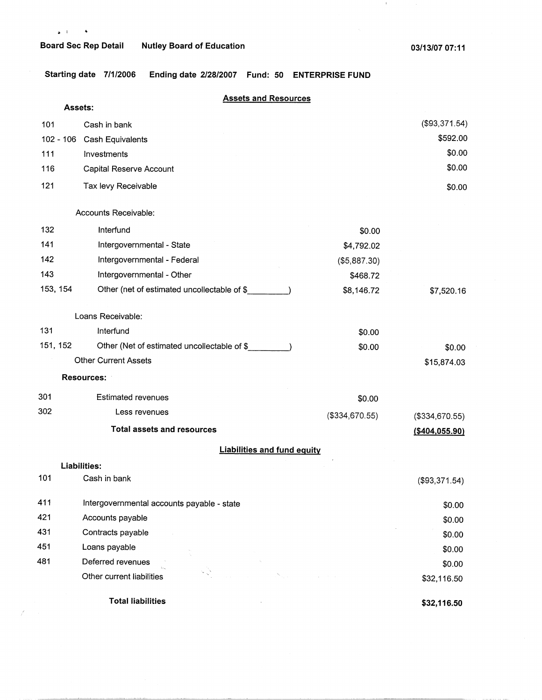$\mathscr{L} \rightarrow \mathscr{L}$ 

 $\sim 0$  .

**Starting date 7/1/2006 Ending date 2/28/2007 Fund: 50 ENTERPRISE FUND** 

|     | Assets:     | <b>Assets and Resources</b>                 |                 |                  |
|-----|-------------|---------------------------------------------|-----------------|------------------|
| 101 |             | Cash in bank                                |                 | (\$93,371.54)    |
|     | $102 - 106$ | Cash Equivalents                            |                 | \$592.00         |
| 111 |             | Investments                                 |                 | \$0.00           |
| 116 |             | Capital Reserve Account                     |                 | \$0.00           |
| 121 |             | Tax levy Receivable                         |                 | \$0.00           |
|     |             | Accounts Receivable:                        |                 |                  |
| 132 |             | Interfund                                   | \$0.00          |                  |
| 141 |             | Intergovernmental - State                   | \$4,792.02      |                  |
| 142 |             | Intergovernmental - Federal                 | (\$5,887.30)    |                  |
| 143 |             | Intergovernmental - Other                   | \$468.72        |                  |
|     | 153, 154    | Other (net of estimated uncollectable of \$ | \$8,146.72      | \$7,520.16       |
|     |             | Loans Receivable:                           |                 |                  |
| 131 |             | Interfund                                   | \$0.00          |                  |
|     | 151, 152    | Other (Net of estimated uncollectable of \$ | \$0.00          | \$0.00           |
|     |             | <b>Other Current Assets</b>                 |                 | \$15,874.03      |
|     |             | <b>Resources:</b>                           |                 |                  |
| 301 |             | <b>Estimated revenues</b>                   | \$0.00          |                  |
| 302 |             | Less revenues                               | (\$334, 670.55) | (\$334,670.55)   |
|     |             | <b>Total assets and resources</b>           |                 | ( \$404, 055.90) |
|     |             | <b>Liabilities and fund equity</b>          |                 |                  |
|     |             | Liabilities:                                |                 |                  |
| 101 |             | Cash in bank                                |                 | (\$93,371.54)    |
| 411 |             | Intergovernmental accounts payable - state  |                 | \$0.00           |
| 421 |             | Accounts payable                            |                 | \$0.00           |
| 431 |             | Contracts payable                           |                 | \$0.00           |
| 451 |             | Loans payable                               |                 | \$0.00           |
| 481 |             | Deferred revenues<br>Yes.                   |                 | \$0.00           |
|     |             | Other current liabilities                   |                 | \$32,116.50      |
|     |             | <b>Total liabilities</b>                    |                 | \$32,116.50      |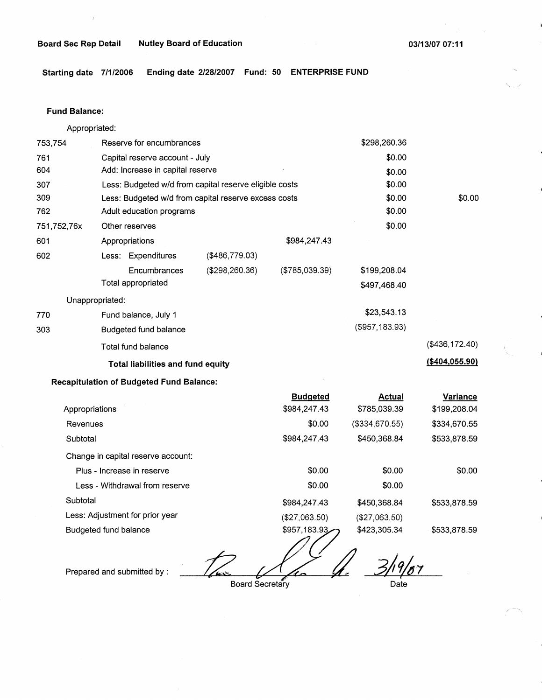**Board Sec Rep Detail Nutley Board of Education** 

**03/13/07 07:11** 

**Starting date 7/1/2006 Ending date 2/28/2007 Fund: 50 ENTERPRISE FUND** 

#### **Fund Balance:**

Appropriated:

| 753,754        | Reserve for encumbrances                               |                          | \$298,260.36    |                      |                   |
|----------------|--------------------------------------------------------|--------------------------|-----------------|----------------------|-------------------|
| 761            | Capital reserve account - July                         |                          |                 | \$0.00               |                   |
| 604            | Add: Increase in capital reserve                       |                          |                 | \$0.00               |                   |
| 307            | Less: Budgeted w/d from capital reserve eligible costs |                          |                 | \$0.00               |                   |
| 309            | Less: Budgeted w/d from capital reserve excess costs   |                          |                 | \$0.00               | \$0.00            |
| 762            |                                                        | Adult education programs |                 |                      |                   |
| 751,752,76x    | Other reserves                                         |                          |                 | \$0.00               |                   |
| 601            | Appropriations                                         |                          | \$984,247.43    |                      |                   |
| 602            | Less: Expenditures                                     | $($ \$486,779.03)        |                 |                      |                   |
|                | Encumbrances                                           | (\$298, 260.36)          | (\$785,039.39)  | \$199,208.04         |                   |
|                | Total appropriated                                     |                          |                 | \$497,468.40         |                   |
|                | Unappropriated:                                        |                          |                 |                      |                   |
| 770            | Fund balance, July 1                                   |                          |                 | \$23,543.13          |                   |
| 303            | <b>Budgeted fund balance</b>                           |                          |                 | $($ \$957,183.93 $)$ |                   |
|                | Total fund balance                                     |                          |                 |                      | (\$436,172.40)    |
|                | <b>Total liabilities and fund equity</b>               |                          |                 |                      | $($ \$404,055.90) |
|                | <b>Recapitulation of Budgeted Fund Balance:</b>        |                          |                 |                      |                   |
|                |                                                        |                          | <b>Budgeted</b> | <b>Actual</b>        | Variance          |
| Appropriations |                                                        |                          | \$984,247.43    | \$785,039.39         | \$199,208.04      |
| Revenues       |                                                        |                          | \$0.00          | (\$334,670.55)       | \$334,670.55      |
| Subtotal       |                                                        |                          | \$984,247.43    | \$450,368.84         | \$533,878.59      |

Change in capital reserve account: Plus - Increase in reserve

Less - Withdrawal from reserve **80.00** \$0.00 \$0.00 Subtotal \$984,247.43 \$450,368.84 Less: Adjustment for prior year

(\$27,063.50) (\$27,063.50)

\$0.00 \$0.00

 $(27,063.50)$   $(27,063.50)$ <br>  $27,063.50$ <br>  $27,063.50$ <br>  $27,063.50$ <br>  $2423,305.34$ <br>  $2533,878.59$ <br>  $349/67$ 

\$0.00

\$533,878.59

\$533,878.59

Prepared and submitted by :

Budgeted fund balance

Board Secretary Date

\$0.00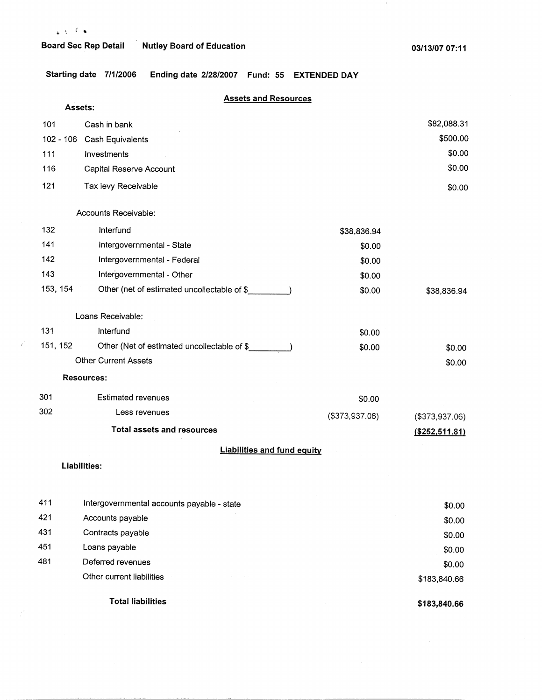$\vec{r}$ 

## **Board Sec Rep Detail Nutley Board of Education**

 $\langle 1 \rangle$ 

**Starting date 7/1/2006 Ending date 2/28/2007 Fund: 55 EXTENDED DAY** 

|             | <b>Assets and Resources</b>                 |                |                  |
|-------------|---------------------------------------------|----------------|------------------|
| Assets:     |                                             |                |                  |
| 101         | Cash in bank                                |                | \$82,088.31      |
| $102 - 106$ | <b>Cash Equivalents</b>                     |                | \$500.00         |
| 111         | Investments                                 |                | \$0.00           |
| 116         | Capital Reserve Account                     |                | \$0.00           |
| 121         | Tax levy Receivable                         |                | \$0.00           |
|             | Accounts Receivable:                        |                |                  |
| 132         | Interfund                                   | \$38,836.94    |                  |
| 141         | Intergovernmental - State                   | \$0.00         |                  |
| 142         | Intergovernmental - Federal                 | \$0.00         |                  |
| 143         | Intergovernmental - Other                   | \$0.00         |                  |
| 153, 154    | Other (net of estimated uncollectable of \$ | \$0.00         | \$38,836.94      |
|             | Loans Receivable:                           |                |                  |
| 131         | Interfund                                   | \$0.00         |                  |
| 151, 152    | Other (Net of estimated uncollectable of \$ | \$0.00         | \$0.00           |
|             | <b>Other Current Assets</b>                 |                | \$0.00           |
|             | <b>Resources:</b>                           |                |                  |
| 301         | <b>Estimated revenues</b>                   | \$0.00         |                  |
| 302         | Less revenues                               | (\$373,937.06) | (\$373,937.06)   |
|             | <b>Total assets and resources</b>           |                | ( \$252, 511.81) |
|             | <b>Liabilities and fund equity</b>          |                |                  |
|             | <b>Liabilities:</b>                         |                |                  |
| 411         | Intergovernmental accounts payable - state  |                | \$0.00           |
| 421         | Accounts payable                            |                | \$0.00           |

| 431 | Contracts payable         |  | \$0.00       |
|-----|---------------------------|--|--------------|
| 451 | Loans payable             |  | \$0.00       |
| 481 | Deferred revenues         |  | \$0.00       |
|     | Other current liabilities |  | \$183,840.66 |
|     |                           |  |              |

**Total liabilities** 

**\$183,840.66**